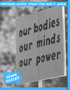MESSAGE GUIDE: FIGHT FOR ROE V. WADE

# our bodies our minds our power

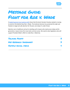

## MESSAGE GUIDE: Fight for Roe v. Wade

A [leaked Supreme Court opinion draft](https://progressiowa.actionkit.com/go/87070?t=6&ak_proof=1&akid=%2E209054%2EeOq-G8) shows that the bench Senator Grassley stacked is moving to overturn the bedrock law, Roe v. Wade. This landmark decision has protected the right and freedom to legal and safe abortion for 50 years, but today it's under threat.

Abortion care is healthcare and we're standing up for Iowans who need access today and for generations. Iowans know this move lacks common sense. We need to elect legislators who will support President Biden's effort to make Roe v. Wade law.

[Talking Points](#page-2-0) 3 KEY RESEARCH TAKEAWAYS SAMPLE SOCIAL MEDIA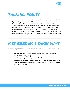

### <span id="page-2-0"></span>Talking Points

- No matter our income or where we live, Iowans value the freedom to access safe and legal abortion protected by Roe v. Wade.
- Overturning Roe v. Wade strips pregnant people of their fundamental rights.
- To truly value life, we must get to work solving public health crises like rising maternal mortality rates and alarming increases in sexually transmitted diseases across Iowa.
- Limiting access to abortion puts pregnant people in danger and puts their lives at risk.
- If we hold Senator Grassley and legislators accountable and advocate for comprehensive health care, we can elect leaders who will improve public health. That means fighting for Roe v. Wade and making it law.

#### <span id="page-2-1"></span>Key Research takeaways

Earlier this year we tested Roe v. Wade messages. Our research shows that Iowans value access to healthcare that includes abortion services.

- **Public health** messaging moves voters to disapprove of an anti-abortion and anti-reproductive health agenda.
- Coming in behind **public health** were messages regarding **sex education**, and the **dangers** we face without Roe v. Wade.
- These findings line up with our previous test showing **access to healthcare** is strongly supported in Iowa and motivates tough opinions about state leaders who stand in the way of increased access.